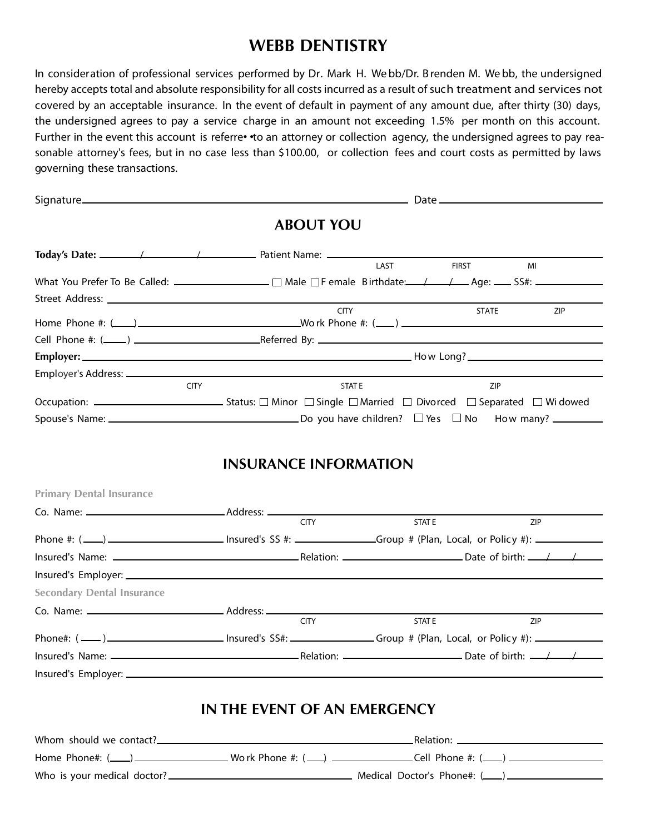## **WEBB DENTISTRY**

In consideration of professional services performed by Dr. Mark H. We bb/Dr. B renden M. We bb, the undersigned hereby accepts total and absolute responsibility for all costs incurred as a result of such treatment and services not covered by an acceptable insurance. In the event of default in payment of any amount due, after thirty (30) days, the undersigned agrees to pay a service charge in an amount not exceeding 1.5% per month on this account. Further in the event this account is referre• • to an attorney or collection agency, the undersigned agrees to pay reasonable attorney's fees, but in no case less than \$100.00, or collection fees and court costs as permitted by laws governing these transactions.

|                                   | <b>ABOUT YOU</b>             |              |              |     |
|-----------------------------------|------------------------------|--------------|--------------|-----|
|                                   |                              | LAST         | <b>FIRST</b> | MI  |
|                                   |                              |              |              |     |
|                                   |                              |              |              |     |
|                                   |                              | <b>CITY</b>  | <b>STATE</b> | ZIP |
|                                   |                              |              |              |     |
|                                   |                              |              |              |     |
|                                   |                              |              |              |     |
|                                   | <b>CITY</b>                  | <b>STATE</b> | ZIP          |     |
|                                   |                              |              |              |     |
|                                   |                              |              |              |     |
| <b>Primary Dental Insurance</b>   | <b>CITY</b>                  | <b>STATE</b> |              | ZIP |
|                                   |                              |              |              |     |
|                                   |                              |              |              |     |
|                                   |                              |              |              |     |
| <b>Secondary Dental Insurance</b> |                              |              |              |     |
|                                   |                              |              |              |     |
|                                   | <b>CITY</b>                  | <b>STATE</b> |              | ZIP |
|                                   |                              |              |              |     |
|                                   |                              |              |              |     |
|                                   | IN THE EVENT OF AN EMERGENCY |              |              |     |
|                                   |                              |              |              |     |
|                                   |                              |              |              |     |
|                                   |                              |              |              |     |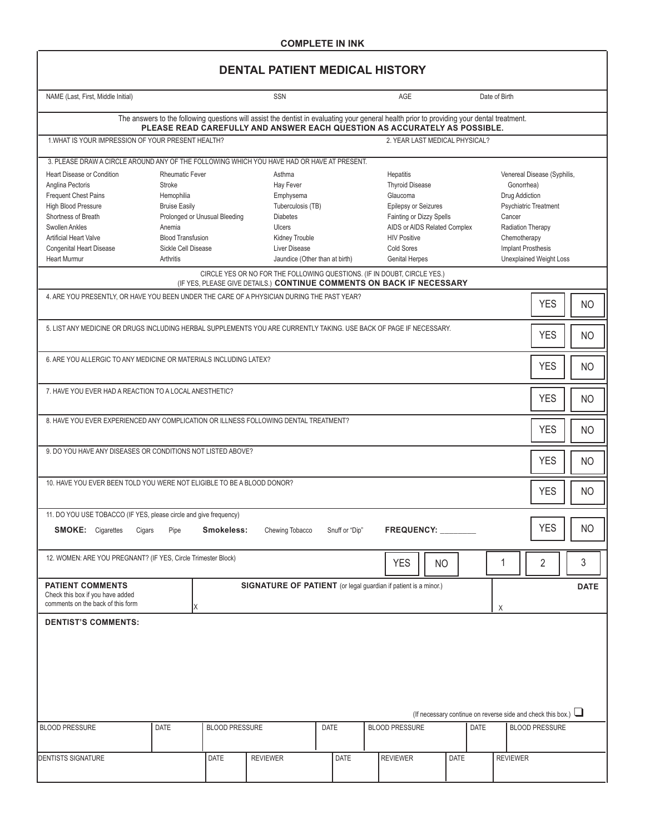### **DENTAL PATIENT MEDICAL HISTORY**

| NAME (Last, First, Middle Initial)                                                                                                                                                                                                                     | <b>SSN</b><br><b>AGE</b><br>Date of Birth                                                                                                        |                               |                                                                                                                                                                                                                         |                                                                                                                                                                                                                                                                                                                                                                                                                                                  |                |  |                                |                                                                    |             |      |                 |                       |            |  |                |
|--------------------------------------------------------------------------------------------------------------------------------------------------------------------------------------------------------------------------------------------------------|--------------------------------------------------------------------------------------------------------------------------------------------------|-------------------------------|-------------------------------------------------------------------------------------------------------------------------------------------------------------------------------------------------------------------------|--------------------------------------------------------------------------------------------------------------------------------------------------------------------------------------------------------------------------------------------------------------------------------------------------------------------------------------------------------------------------------------------------------------------------------------------------|----------------|--|--------------------------------|--------------------------------------------------------------------|-------------|------|-----------------|-----------------------|------------|--|----------------|
|                                                                                                                                                                                                                                                        |                                                                                                                                                  |                               | The answers to the following questions will assist the dentist in evaluating your general health prior to providing your dental treatment.<br>PLEASE READ CAREFULLY AND ANSWER EACH QUESTION AS ACCURATELY AS POSSIBLE. |                                                                                                                                                                                                                                                                                                                                                                                                                                                  |                |  |                                |                                                                    |             |      |                 |                       |            |  |                |
| 1. WHAT IS YOUR IMPRESSION OF YOUR PRESENT HEALTH?                                                                                                                                                                                                     |                                                                                                                                                  |                               |                                                                                                                                                                                                                         |                                                                                                                                                                                                                                                                                                                                                                                                                                                  |                |  | 2. YEAR LAST MEDICAL PHYSICAL? |                                                                    |             |      |                 |                       |            |  |                |
| 3. PLEASE DRAW A CIRCLE AROUND ANY OF THE FOLLOWING WHICH YOU HAVE HAD OR HAVE AT PRESENT.                                                                                                                                                             |                                                                                                                                                  |                               |                                                                                                                                                                                                                         |                                                                                                                                                                                                                                                                                                                                                                                                                                                  |                |  |                                |                                                                    |             |      |                 |                       |            |  |                |
| <b>Heart Disease or Condition</b><br>Anglina Pectoris<br><b>Frequent Chest Pains</b><br><b>High Blood Pressure</b><br>Shortness of Breath<br>Swollen Ankles<br><b>Artificial Heart Valve</b><br><b>Congenital Heart Disease</b><br><b>Heart Murmur</b> | <b>Rheumatic Fever</b><br>Stroke<br>Hemophilia<br><b>Bruise Easily</b><br>Anemia<br><b>Blood Transfusion</b><br>Sickle Cell Disease<br>Arthritis | Prolonged or Unusual Bleeding | Asthma<br><b>Hay Fever</b><br>Emphysema<br>Tuberculosis (TB)<br><b>Diabetes</b><br><b>Ulcers</b><br>Kidney Trouble<br>Liver Disease                                                                                     | Hepatitis<br>Venereal Disease (Syphilis,<br><b>Thyroid Disease</b><br>Gonorrhea)<br>Glaucoma<br>Drug Addiction<br>Epilepsy or Seizures<br>Psychiatric Treatment<br>Fainting or Dizzy Spells<br>Cancer<br>AIDS or AIDS Related Complex<br><b>Radiation Therapy</b><br><b>HIV Positive</b><br>Chemotherapy<br>Cold Sores<br><b>Implant Prosthesis</b><br>Jaundice (Other than at birth)<br><b>Genital Herpes</b><br><b>Unexplained Weight Loss</b> |                |  |                                |                                                                    |             |      |                 |                       |            |  |                |
|                                                                                                                                                                                                                                                        |                                                                                                                                                  |                               | CIRCLE YES OR NO FOR THE FOLLOWING QUESTIONS. (IF IN DOUBT, CIRCLE YES.)<br>(IF YES, PLEASE GIVE DETAILS.) CONTINUE COMMENTS ON BACK IF NECESSARY                                                                       |                                                                                                                                                                                                                                                                                                                                                                                                                                                  |                |  |                                |                                                                    |             |      |                 |                       |            |  |                |
| 4. ARE YOU PRESENTLY, OR HAVE YOU BEEN UNDER THE CARE OF A PHYSICIAN DURING THE PAST YEAR?                                                                                                                                                             |                                                                                                                                                  |                               |                                                                                                                                                                                                                         |                                                                                                                                                                                                                                                                                                                                                                                                                                                  |                |  |                                |                                                                    |             |      |                 |                       | <b>YES</b> |  | <b>NO</b>      |
| 5. LIST ANY MEDICINE OR DRUGS INCLUDING HERBAL SUPPLEMENTS YOU ARE CURRENTLY TAKING. USE BACK OF PAGE IF NECESSARY.                                                                                                                                    |                                                                                                                                                  |                               |                                                                                                                                                                                                                         |                                                                                                                                                                                                                                                                                                                                                                                                                                                  |                |  |                                |                                                                    |             |      |                 |                       | <b>YES</b> |  | <b>NO</b>      |
|                                                                                                                                                                                                                                                        | 6. ARE YOU ALLERGIC TO ANY MEDICINE OR MATERIALS INCLUDING LATEX?<br><b>YES</b><br><b>NO</b>                                                     |                               |                                                                                                                                                                                                                         |                                                                                                                                                                                                                                                                                                                                                                                                                                                  |                |  |                                |                                                                    |             |      |                 |                       |            |  |                |
|                                                                                                                                                                                                                                                        | 7. HAVE YOU EVER HAD A REACTION TO A LOCAL ANESTHETIC?<br><b>YES</b><br><b>NO</b>                                                                |                               |                                                                                                                                                                                                                         |                                                                                                                                                                                                                                                                                                                                                                                                                                                  |                |  |                                |                                                                    |             |      |                 |                       |            |  |                |
| 8. HAVE YOU EVER EXPERIENCED ANY COMPLICATION OR ILLNESS FOLLOWING DENTAL TREATMENT?                                                                                                                                                                   |                                                                                                                                                  |                               |                                                                                                                                                                                                                         |                                                                                                                                                                                                                                                                                                                                                                                                                                                  |                |  |                                |                                                                    |             |      |                 |                       | <b>YES</b> |  | <b>NO</b>      |
| 9. DO YOU HAVE ANY DISEASES OR CONDITIONS NOT LISTED ABOVE?<br><b>YES</b><br><b>NO</b>                                                                                                                                                                 |                                                                                                                                                  |                               |                                                                                                                                                                                                                         |                                                                                                                                                                                                                                                                                                                                                                                                                                                  |                |  |                                |                                                                    |             |      |                 |                       |            |  |                |
| 10. HAVE YOU EVER BEEN TOLD YOU WERE NOT ELIGIBLE TO BE A BLOOD DONOR?<br><b>YES</b><br><b>NO</b>                                                                                                                                                      |                                                                                                                                                  |                               |                                                                                                                                                                                                                         |                                                                                                                                                                                                                                                                                                                                                                                                                                                  |                |  |                                |                                                                    |             |      |                 |                       |            |  |                |
| 11. DO YOU USE TOBACCO (IF YES, please circle and give frequency)                                                                                                                                                                                      |                                                                                                                                                  |                               |                                                                                                                                                                                                                         |                                                                                                                                                                                                                                                                                                                                                                                                                                                  |                |  |                                |                                                                    |             |      |                 |                       |            |  |                |
| <b>SMOKE:</b> Cigarettes                                                                                                                                                                                                                               | Cigars<br>Pipe                                                                                                                                   | Smokeless:                    | Chewing Tobacco                                                                                                                                                                                                         |                                                                                                                                                                                                                                                                                                                                                                                                                                                  | Snuff or "Dip" |  | <b>FREQUENCY:</b>              |                                                                    |             |      |                 |                       | <b>YES</b> |  | NO             |
| 12. WOMEN: ARE YOU PREGNANT? (IF YES, Circle Trimester Block)                                                                                                                                                                                          |                                                                                                                                                  |                               |                                                                                                                                                                                                                         |                                                                                                                                                                                                                                                                                                                                                                                                                                                  |                |  | <b>YES</b>                     | NO                                                                 |             |      | 1               |                       | 2          |  | $\mathfrak{Z}$ |
| <b>PATIENT COMMENTS</b><br>Check this box if you have added<br>comments on the back of this form                                                                                                                                                       |                                                                                                                                                  |                               | SIGNATURE OF PATIENT (or legal guardian if patient is a minor.)                                                                                                                                                         |                                                                                                                                                                                                                                                                                                                                                                                                                                                  |                |  |                                |                                                                    |             |      | Χ               |                       |            |  | <b>DATE</b>    |
| <b>DENTIST'S COMMENTS:</b>                                                                                                                                                                                                                             |                                                                                                                                                  |                               |                                                                                                                                                                                                                         |                                                                                                                                                                                                                                                                                                                                                                                                                                                  |                |  |                                |                                                                    |             |      |                 |                       |            |  |                |
|                                                                                                                                                                                                                                                        |                                                                                                                                                  |                               |                                                                                                                                                                                                                         |                                                                                                                                                                                                                                                                                                                                                                                                                                                  |                |  |                                | (If necessary continue on reverse side and check this box.) $\Box$ |             |      |                 |                       |            |  |                |
| <b>BLOOD PRESSURE</b>                                                                                                                                                                                                                                  | DATE                                                                                                                                             | <b>BLOOD PRESSURE</b>         |                                                                                                                                                                                                                         | <b>DATE</b>                                                                                                                                                                                                                                                                                                                                                                                                                                      |                |  | <b>BLOOD PRESSURE</b>          |                                                                    |             | DATE |                 | <b>BLOOD PRESSURE</b> |            |  |                |
| <b>DENTISTS SIGNATURE</b>                                                                                                                                                                                                                              |                                                                                                                                                  | DATE                          | <b>REVIEWER</b>                                                                                                                                                                                                         |                                                                                                                                                                                                                                                                                                                                                                                                                                                  | DATE           |  | <b>REVIEWER</b>                |                                                                    | <b>DATE</b> |      | <b>REVIEWER</b> |                       |            |  |                |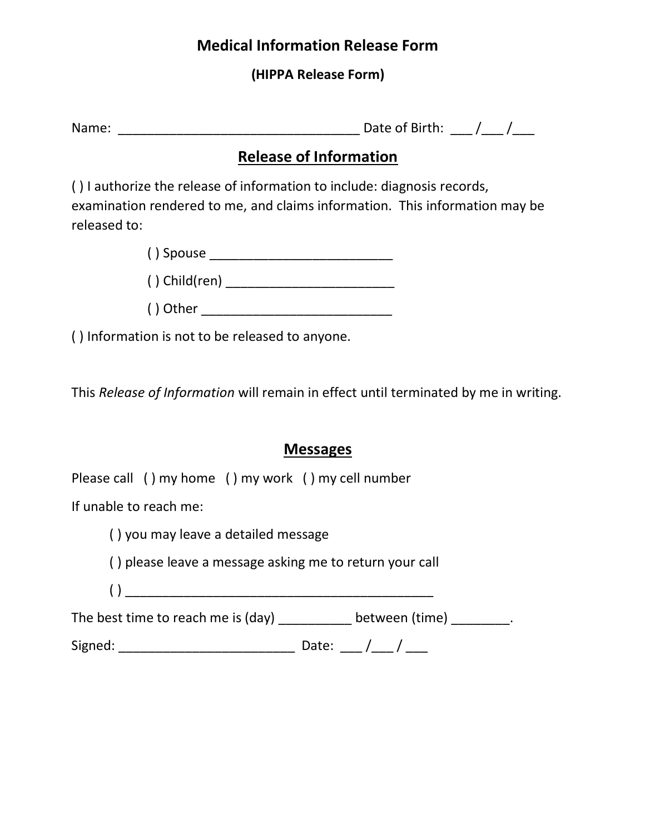# **Medical Information Release Form**

## **(HIPPA Release Form)**

| Name: | Date of Birth: |  |  |  |  |
|-------|----------------|--|--|--|--|
|-------|----------------|--|--|--|--|

# **Release of Information**

( ) I authorize the release of information to include: diagnosis records, examination rendered to me, and claims information. This information may be released to:

( ) Spouse \_\_\_\_\_\_\_\_\_\_\_\_\_\_\_\_\_\_\_\_\_\_\_\_\_

 $( )$  Child(ren)  $\qquad \qquad \qquad \qquad$ 

| () Other |
|----------|
|----------|

( ) Information is not to be released to anyone.

This *Release of Information* will remain in effect until terminated by me in writing.

# **Messages**

Please call ( ) my home ( ) my work ( ) my cell number

If unable to reach me:

( ) you may leave a detailed message

( ) please leave a message asking me to return your call

( ) \_\_\_\_\_\_\_\_\_\_\_\_\_\_\_\_\_\_\_\_\_\_\_\_\_\_\_\_\_\_\_\_\_\_\_\_\_\_\_\_\_\_

The best time to reach me is  $(\text{day})$  \_\_\_\_\_\_\_\_\_\_ between  $(\text{time})$  \_\_\_\_\_\_\_\_.

Signed: \_\_\_\_\_\_\_\_\_\_\_\_\_\_\_\_\_\_\_\_\_\_\_\_ Date: \_\_\_ /\_\_\_ / \_\_\_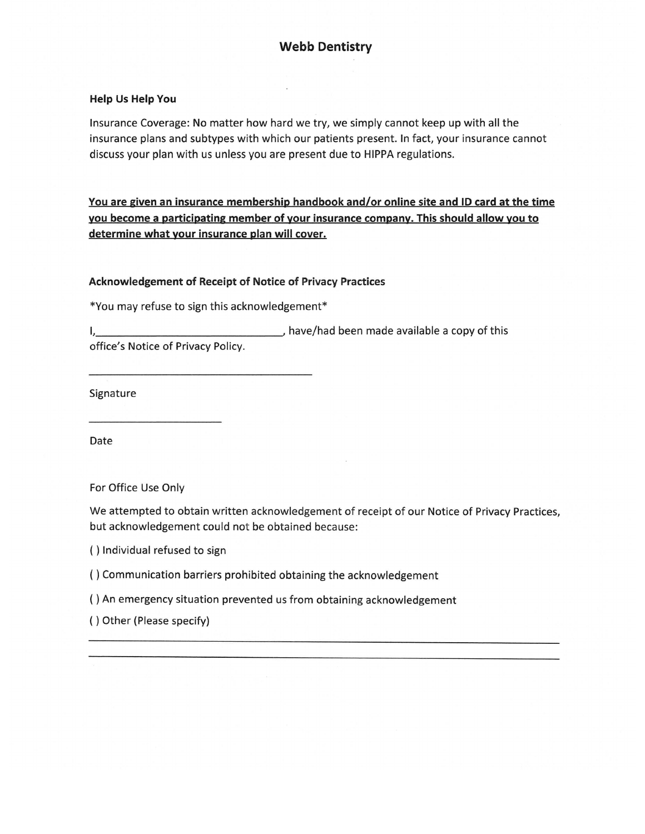## **Webb Dentistry**

#### **Help Us Help You**

Insurance Coverage: No matter how hard we try, we simply cannot keep up with all the insurance plans and subtypes with which our patients present. In fact, your insurance cannot discuss your plan with us unless you are present due to HIPPA regulations.

<u>You are given an insurance membership handbook and/or online site and ID card at the time</u> you become a participating member of your insurance company. This should allow you to determine what your insurance plan will cover.

#### Acknowledgement of Receipt of Notice of Privacy Practices

\*You may refuse to sign this acknowledgement\*

have/had been made available a copy of this  $\mathsf{L}$ 

office's Notice of Privacy Policy.

Signature

Date

For Office Use Only

We attempted to obtain written acknowledgement of receipt of our Notice of Privacy Practices, but acknowledgement could not be obtained because:

() Individual refused to sign

- () Communication barriers prohibited obtaining the acknowledgement
- () An emergency situation prevented us from obtaining acknowledgement

() Other (Please specify)